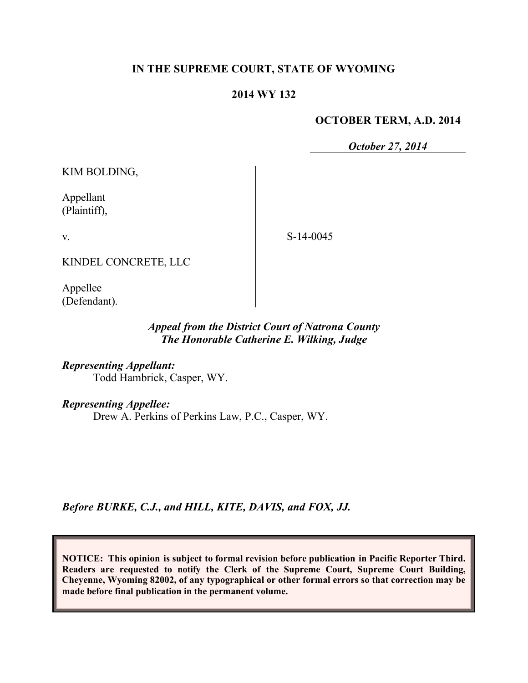### **IN THE SUPREME COURT, STATE OF WYOMING**

### **2014 WY 132**

#### **OCTOBER TERM, A.D. 2014**

*October 27, 2014*

KIM BOLDING,

Appellant (Plaintiff),

v.

S-14-0045

KINDEL CONCRETE, LLC

Appellee (Defendant).

### *Appeal from the District Court of Natrona County The Honorable Catherine E. Wilking, Judge*

*Representing Appellant:* Todd Hambrick, Casper, WY.

*Representing Appellee:*

Drew A. Perkins of Perkins Law, P.C., Casper, WY.

*Before BURKE, C.J., and HILL, KITE, DAVIS, and FOX, JJ.*

**NOTICE: This opinion is subject to formal revision before publication in Pacific Reporter Third. Readers are requested to notify the Clerk of the Supreme Court, Supreme Court Building, Cheyenne, Wyoming 82002, of any typographical or other formal errors so that correction may be made before final publication in the permanent volume.**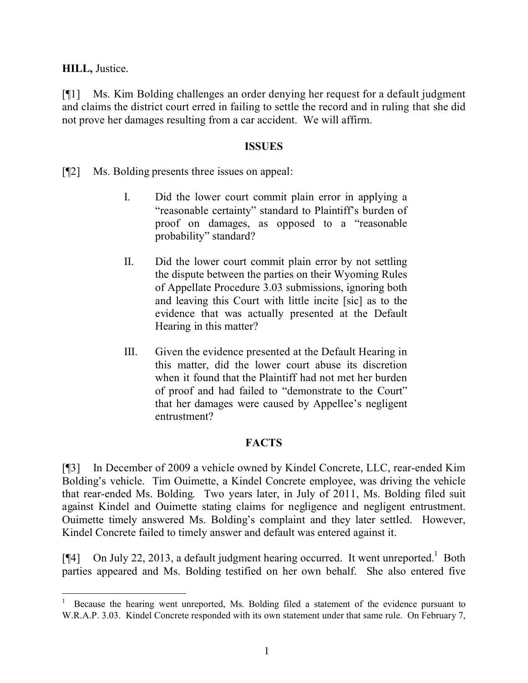### **HILL,** Justice.

[¶1] Ms. Kim Bolding challenges an order denying her request for a default judgment and claims the district court erred in failing to settle the record and in ruling that she did not prove her damages resulting from a car accident. We will affirm.

### **ISSUES**

[¶2] Ms. Bolding presents three issues on appeal:

- I. Did the lower court commit plain error in applying a "reasonable certainty" standard to Plaintiff's burden of proof on damages, as opposed to a "reasonable probability" standard?
- II. Did the lower court commit plain error by not settling the dispute between the parties on their Wyoming Rules of Appellate Procedure 3.03 submissions, ignoring both and leaving this Court with little incite [sic] as to the evidence that was actually presented at the Default Hearing in this matter?
- III. Given the evidence presented at the Default Hearing in this matter, did the lower court abuse its discretion when it found that the Plaintiff had not met her burden of proof and had failed to "demonstrate to the Court" that her damages were caused by Appellee's negligent entrustment?

# **FACTS**

[¶3] In December of 2009 a vehicle owned by Kindel Concrete, LLC, rear-ended Kim Bolding's vehicle. Tim Ouimette, a Kindel Concrete employee, was driving the vehicle that rear-ended Ms. Bolding. Two years later, in July of 2011, Ms. Bolding filed suit against Kindel and Ouimette stating claims for negligence and negligent entrustment. Ouimette timely answered Ms. Bolding's complaint and they later settled. However, Kindel Concrete failed to timely answer and default was entered against it.

[¶4] On July 22, 2013, a default judgment hearing occurred. It went unreported.<sup>1</sup> Both parties appeared and Ms. Bolding testified on her own behalf. She also entered five

<sup>1</sup> Because the hearing went unreported, Ms. Bolding filed a statement of the evidence pursuant to W.R.A.P. 3.03. Kindel Concrete responded with its own statement under that same rule. On February 7,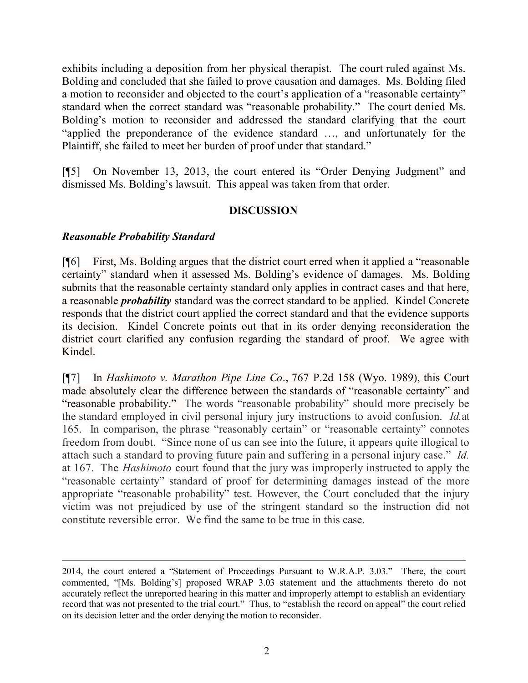exhibits including a deposition from her physical therapist. The court ruled against Ms. Bolding and concluded that she failed to prove causation and damages. Ms. Bolding filed a motion to reconsider and objected to the court's application of a "reasonable certainty" standard when the correct standard was "reasonable probability." The court denied Ms. Bolding's motion to reconsider and addressed the standard clarifying that the court "applied the preponderance of the evidence standard …, and unfortunately for the Plaintiff, she failed to meet her burden of proof under that standard."

[¶5] On November 13, 2013, the court entered its "Order Denying Judgment" and dismissed Ms. Bolding's lawsuit. This appeal was taken from that order.

## **DISCUSSION**

## *Reasonable Probability Standard*

[¶6] First, Ms. Bolding argues that the district court erred when it applied a "reasonable certainty" standard when it assessed Ms. Bolding's evidence of damages. Ms. Bolding submits that the reasonable certainty standard only applies in contract cases and that here, a reasonable *probability* standard was the correct standard to be applied. Kindel Concrete responds that the district court applied the correct standard and that the evidence supports its decision. Kindel Concrete points out that in its order denying reconsideration the district court clarified any confusion regarding the standard of proof. We agree with Kindel.

[¶7] In *Hashimoto v. Marathon Pipe Line Co*., 767 P.2d 158 (Wyo. 1989), this Court made absolutely clear the difference between the standards of "reasonable certainty" and "reasonable probability." The words "reasonable probability" should more precisely be the standard employed in civil personal injury jury instructions to avoid confusion. *Id.*at 165. In comparison, the phrase "reasonably certain" or "reasonable certainty" connotes freedom from doubt. "Since none of us can see into the future, it appears quite illogical to attach such a standard to proving future pain and suffering in a personal injury case." *Id.*  at 167. The *Hashimoto* court found that the jury was improperly instructed to apply the "reasonable certainty" standard of proof for determining damages instead of the more appropriate "reasonable probability" test. However, the Court concluded that the injury victim was not prejudiced by use of the stringent standard so the instruction did not constitute reversible error. We find the same to be true in this case.

<sup>2014,</sup> the court entered a "Statement of Proceedings Pursuant to W.R.A.P. 3.03." There, the court commented, "[Ms. Bolding's] proposed WRAP 3.03 statement and the attachments thereto do not accurately reflect the unreported hearing in this matter and improperly attempt to establish an evidentiary record that was not presented to the trial court." Thus, to "establish the record on appeal" the court relied on its decision letter and the order denying the motion to reconsider.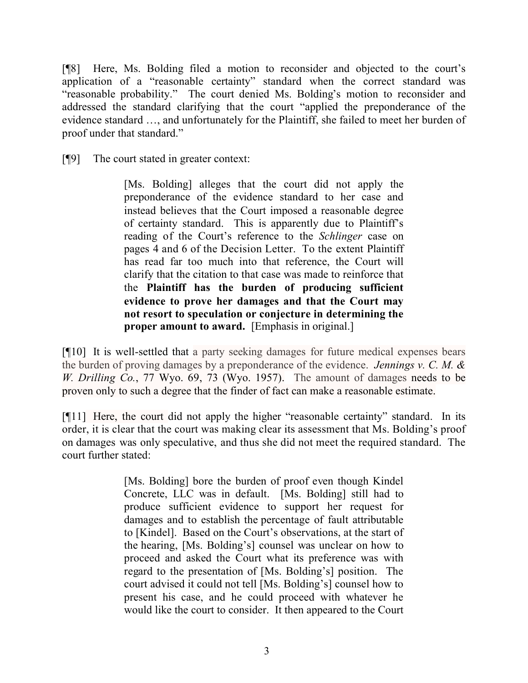[¶8] Here, Ms. Bolding filed a motion to reconsider and objected to the court's application of a "reasonable certainty" standard when the correct standard was "reasonable probability." The court denied Ms. Bolding's motion to reconsider and addressed the standard clarifying that the court "applied the preponderance of the evidence standard …, and unfortunately for the Plaintiff, she failed to meet her burden of proof under that standard."

[¶9] The court stated in greater context:

[Ms. Bolding] alleges that the court did not apply the preponderance of the evidence standard to her case and instead believes that the Court imposed a reasonable degree of certainty standard. This is apparently due to Plaintiff's reading of the Court's reference to the *Schlinger* case on pages 4 and 6 of the Decision Letter. To the extent Plaintiff has read far too much into that reference, the Court will clarify that the citation to that case was made to reinforce that the **Plaintiff has the burden of producing sufficient evidence to prove her damages and that the Court may not resort to speculation or conjecture in determining the proper amount to award.** [Emphasis in original.]

[¶10] It is well-settled that a party seeking damages for future medical expenses bears the burden of proving damages by a preponderance of the evidence. *Jennings v. C. M. & W. Drilling Co.*, 77 Wyo. 69, 73 (Wyo. 1957). The amount of damages needs to be proven only to such a degree that the finder of fact can make a reasonable estimate.

[¶11] Here, the court did not apply the higher "reasonable certainty" standard. In its order, it is clear that the court was making clear its assessment that Ms. Bolding's proof on damages was only speculative, and thus she did not meet the required standard. The court further stated:

> [Ms. Bolding] bore the burden of proof even though Kindel Concrete, LLC was in default. [Ms. Bolding] still had to produce sufficient evidence to support her request for damages and to establish the percentage of fault attributable to [Kindel]. Based on the Court's observations, at the start of the hearing, [Ms. Bolding's] counsel was unclear on how to proceed and asked the Court what its preference was with regard to the presentation of [Ms. Bolding's] position. The court advised it could not tell [Ms. Bolding's] counsel how to present his case, and he could proceed with whatever he would like the court to consider. It then appeared to the Court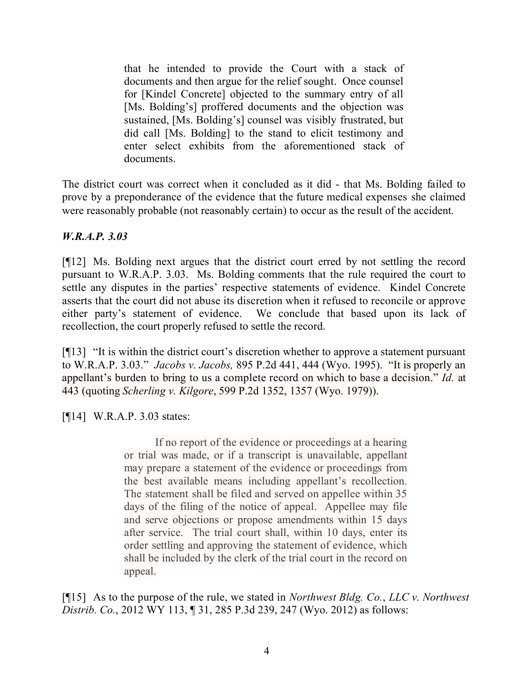that he intended to provide the Court with a stack of documents and then argue for the relief sought. Once counsel for [Kindel Concrete] objected to the summary entry of all [Ms. Bolding's] proffered documents and the objection was sustained, [Ms. Bolding's] counsel was visibly frustrated, but did call [Ms. Bolding] to the stand to elicit testimony and enter select exhibits from the aforementioned stack of documents.

The district court was correct when it concluded as it did - that Ms. Bolding failed to prove by a preponderance of the evidence that the future medical expenses she claimed were reasonably probable (not reasonably certain) to occur as the result of the accident.

## *W.R.A.P. 3.03*

[¶12] Ms. Bolding next argues that the district court erred by not settling the record pursuant to W.R.A.P. 3.03. Ms. Bolding comments that the rule required the court to settle any disputes in the parties' respective statements of evidence. Kindel Concrete asserts that the court did not abuse its discretion when it refused to reconcile or approve either party's statement of evidence. We conclude that based upon its lack of recollection, the court properly refused to settle the record.

[¶13] "It is within the district court's discretion whether to approve a statement pursuant to W.R.A.P. 3.03." *Jacobs v. Jacobs,* 895 P.2d 441, 444 (Wyo. 1995). "It is properly an appellant's burden to bring to us a complete record on which to base a decision." *Id.* at 443 (quoting *Scherling v. Kilgore*, 599 P.2d 1352, 1357 (Wyo. 1979)).

[¶14] W.R.A.P. 3.03 states:

If no report of the evidence or proceedings at a hearing or trial was made, or if a transcript is unavailable, appellant may prepare a statement of the evidence or proceedings from the best available means including appellant's recollection. The statement shall be filed and served on appellee within 35 days of the filing of the notice of appeal. Appellee may file and serve objections or propose amendments within 15 days after service. The trial court shall, within 10 days, enter its order settling and approving the statement of evidence, which shall be included by the clerk of the trial court in the record on appeal.

[¶15] As to the purpose of the rule, we stated in *Northwest Bldg. Co.*, *LLC v. Northwest Distrib. Co.*, 2012 WY 113, ¶ 31, 285 P.3d 239, 247 (Wyo. 2012) as follows: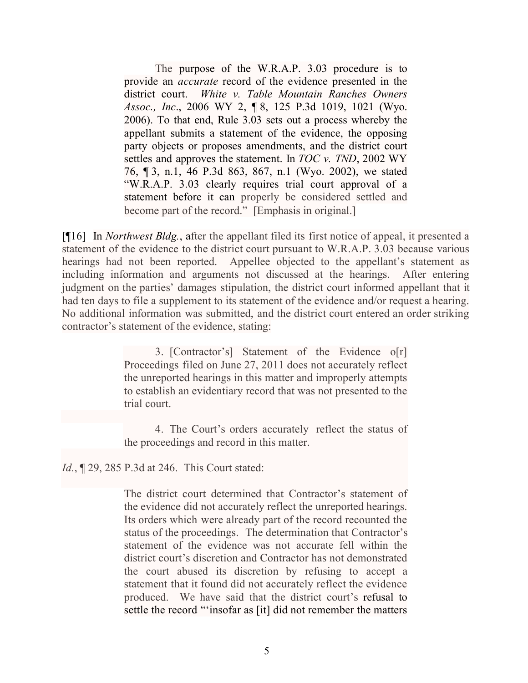The purpose of the W.R.A.P. 3.03 procedure is to provide an *accurate* record of the evidence presented in the district court. *White v. Table Mountain Ranches Owners Assoc., Inc*., 2006 WY 2, ¶ 8, 125 P.3d 1019, 1021 (Wyo. 2006). To that end, Rule 3.03 sets out a process whereby the appellant submits a statement of the evidence, the opposing party objects or proposes amendments, and the district court settles and approves the statement. In *TOC v. TND*, 2002 WY 76, ¶ 3, n.1, 46 P.3d 863, 867, n.1 (Wyo. 2002), we stated "W.R.A.P. 3.03 clearly requires trial court approval of a statement before it can properly be considered settled and become part of the record." [Emphasis in original.]

[¶16] In *Northwest Bldg.*, after the appellant filed its first notice of appeal, it presented a statement of the evidence to the district court pursuant to W.R.A.P. 3.03 because various hearings had not been reported. Appellee objected to the appellant's statement as including information and arguments not discussed at the hearings. After entering judgment on the parties' damages stipulation, the district court informed appellant that it had ten days to file a supplement to its statement of the evidence and/or request a hearing. No additional information was submitted, and the district court entered an order striking contractor's statement of the evidence, stating:

> 3. [Contractor's] Statement of the Evidence o[r] Proceedings filed on June 27, 2011 does not accurately reflect the unreported hearings in this matter and improperly attempts to establish an evidentiary record that was not presented to the trial court.

> 4. The Court's orders accurately reflect the status of the proceedings and record in this matter.

*Id.*, 129, 285 P.3d at 246. This Court stated:

The district court determined that Contractor's statement of the evidence did not accurately reflect the unreported hearings. Its orders which were already part of the record recounted the status of the proceedings. The determination that Contractor's statement of the evidence was not accurate fell within the district court's discretion and Contractor has not demonstrated the court abused its discretion by refusing to accept a statement that it found did not accurately reflect the evidence produced. We have said that the district court's refusal to settle the record "'insofar as [it] did not remember the matters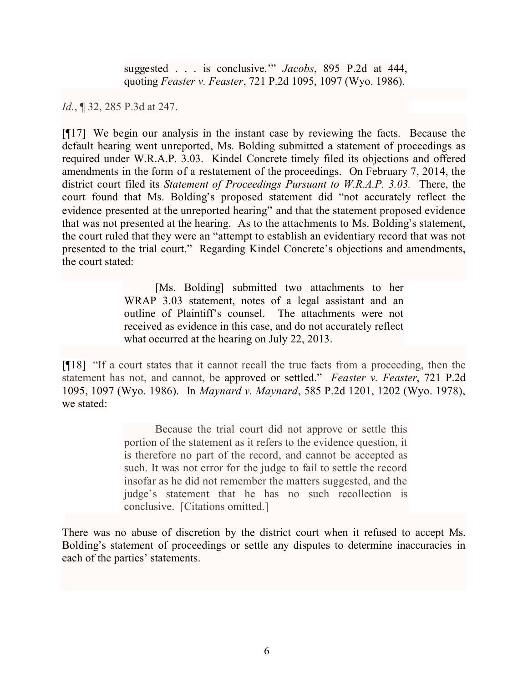suggested . . . is conclusive.'" *Jacobs*, 895 P.2d at 444, quoting *Feaster v. Feaster*, 721 P.2d 1095, 1097 (Wyo. 1986).

*Id.*, ¶ 32, 285 P.3d at 247.

[¶17] We begin our analysis in the instant case by reviewing the facts. Because the default hearing went unreported, Ms. Bolding submitted a statement of proceedings as required under W.R.A.P. 3.03. Kindel Concrete timely filed its objections and offered amendments in the form of a restatement of the proceedings. On February 7, 2014, the district court filed its *Statement of Proceedings Pursuant to W.R.A.P. 3.03.* There, the court found that Ms. Bolding's proposed statement did "not accurately reflect the evidence presented at the unreported hearing" and that the statement proposed evidence that was not presented at the hearing. As to the attachments to Ms. Bolding's statement, the court ruled that they were an "attempt to establish an evidentiary record that was not presented to the trial court." Regarding Kindel Concrete's objections and amendments, the court stated:

> [Ms. Bolding] submitted two attachments to her WRAP 3.03 statement, notes of a legal assistant and an outline of Plaintiff's counsel. The attachments were not received as evidence in this case, and do not accurately reflect what occurred at the hearing on July 22, 2013.

[¶18] "If a court states that it cannot recall the true facts from a proceeding, then the statement has not, and cannot, be approved or settled." *Feaster v. Feaster*, 721 P.2d 1095, 1097 (Wyo. 1986). In *Maynard v. Maynard*, 585 P.2d 1201, 1202 (Wyo. 1978), we stated:

> Because the trial court did not approve or settle this portion of the statement as it refers to the evidence question, it is therefore no part of the record, and cannot be accepted as such. It was not error for the judge to fail to settle the record insofar as he did not remember the matters suggested, and the judge's statement that he has no such recollection is conclusive. [Citations omitted.]

There was no abuse of discretion by the district court when it refused to accept Ms. Bolding's statement of proceedings or settle any disputes to determine inaccuracies in each of the parties' statements.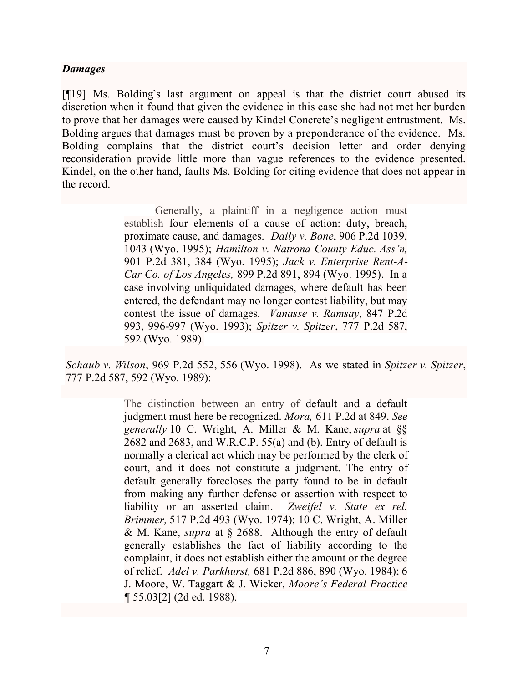### *Damages*

[¶19] Ms. Bolding's last argument on appeal is that the district court abused its discretion when it found that given the evidence in this case she had not met her burden to prove that her damages were caused by Kindel Concrete's negligent entrustment. Ms. Bolding argues that damages must be proven by a preponderance of the evidence. Ms. Bolding complains that the district court's decision letter and order denying reconsideration provide little more than vague references to the evidence presented. Kindel, on the other hand, faults Ms. Bolding for citing evidence that does not appear in the record.

> Generally, a plaintiff in a negligence action must establish four elements of a cause of action: duty, breach, proximate cause, and damages. *Daily v. Bone*, 906 P.2d 1039, 1043 (Wyo. 1995); *Hamilton v. Natrona County Educ. Ass'n,* 901 P.2d 381, 384 (Wyo. 1995); *Jack v. Enterprise Rent-A-Car Co. of Los Angeles,* 899 P.2d 891, 894 (Wyo. 1995). In a case involving unliquidated damages, where default has been entered, the defendant may no longer contest liability, but may contest the issue of damages. *Vanasse v. Ramsay*, 847 P.2d 993, 996-997 (Wyo. 1993); *Spitzer v. Spitzer*, 777 P.2d 587, 592 (Wyo. 1989).

*Schaub v. Wilson*, 969 P.2d 552, 556 (Wyo. 1998). As we stated in *Spitzer v. Spitzer*, 777 P.2d 587, 592 (Wyo. 1989):

> The distinction between an entry of default and a default judgment must here be recognized. *Mora,* 611 P.2d at 849. *See generally* 10 C. Wright, A. Miller & M. Kane, *supra* at §§ 2682 and 2683, and W.R.C.P. 55(a) and (b). Entry of default is normally a clerical act which may be performed by the clerk of court, and it does not constitute a judgment. The entry of default generally forecloses the party found to be in default from making any further defense or assertion with respect to liability or an asserted claim. *Zweifel v. State ex rel. Brimmer,* 517 P.2d 493 (Wyo. 1974); 10 C. Wright, A. Miller & M. Kane, *supra* at § 2688. Although the entry of default generally establishes the fact of liability according to the complaint, it does not establish either the amount or the degree of relief. *Adel v. Parkhurst,* 681 P.2d 886, 890 (Wyo. 1984); 6 J. Moore, W. Taggart & J. Wicker, *Moore's Federal Practice ¶* 55.03[2] (2d ed. 1988).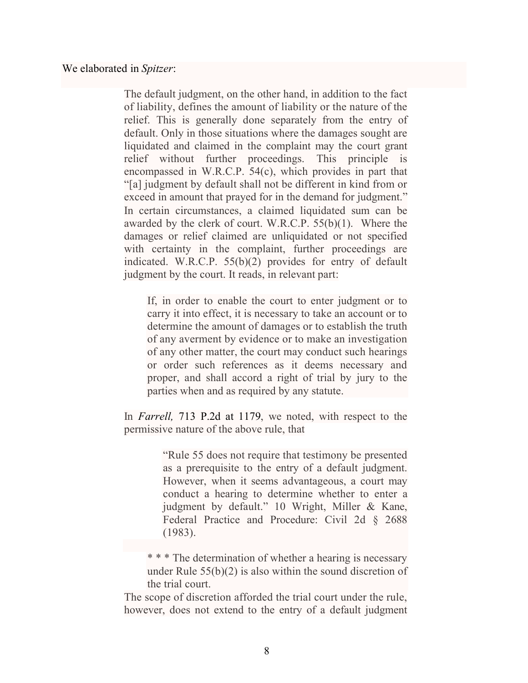We elaborated in *Spitzer*:

The default judgment, on the other hand, in addition to the fact of liability, defines the amount of liability or the nature of the relief. This is generally done separately from the entry of default. Only in those situations where the damages sought are liquidated and claimed in the complaint may the court grant relief without further proceedings. This principle is encompassed in W.R.C.P. 54(c), which provides in part that "[a] judgment by default shall not be different in kind from or exceed in amount that prayed for in the demand for judgment." In certain circumstances, a claimed liquidated sum can be awarded by the clerk of court. W.R.C.P. 55(b)(1). Where the damages or relief claimed are unliquidated or not specified with certainty in the complaint, further proceedings are indicated. W.R.C.P. 55(b)(2) provides for entry of default judgment by the court. It reads, in relevant part:

If, in order to enable the court to enter judgment or to carry it into effect, it is necessary to take an account or to determine the amount of damages or to establish the truth of any averment by evidence or to make an investigation of any other matter, the court may conduct such hearings or order such references as it deems necessary and proper, and shall accord a right of trial by jury to the parties when and as required by any statute.

In *Farrell,* 713 P.2d at 1179, we noted, with respect to the permissive nature of the above rule, that

> "Rule 55 does not require that testimony be presented as a prerequisite to the entry of a default judgment. However, when it seems advantageous, a court may conduct a hearing to determine whether to enter a judgment by default." 10 Wright, Miller & Kane, Federal Practice and Procedure: Civil 2d § 2688 (1983).

\* \* \* The determination of whether a hearing is necessary under Rule 55(b)(2) is also within the sound discretion of the trial court.

The scope of discretion afforded the trial court under the rule, however, does not extend to the entry of a default judgment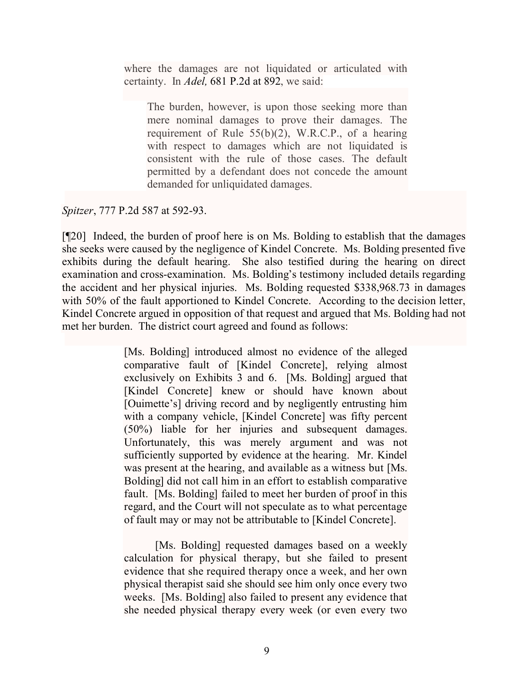where the damages are not liquidated or articulated with certainty. In *Adel,* 681 P.2d at 892, we said:

The burden, however, is upon those seeking more than mere nominal damages to prove their damages. The requirement of Rule 55(b)(2), W.R.C.P., of a hearing with respect to damages which are not liquidated is consistent with the rule of those cases. The default permitted by a defendant does not concede the amount demanded for unliquidated damages.

*Spitzer*, 777 P.2d 587 at 592-93.

[¶20] Indeed, the burden of proof here is on Ms. Bolding to establish that the damages she seeks were caused by the negligence of Kindel Concrete. Ms. Bolding presented five exhibits during the default hearing. She also testified during the hearing on direct examination and cross-examination. Ms. Bolding's testimony included details regarding the accident and her physical injuries. Ms. Bolding requested \$338,968.73 in damages with 50% of the fault apportioned to Kindel Concrete. According to the decision letter, Kindel Concrete argued in opposition of that request and argued that Ms. Bolding had not met her burden. The district court agreed and found as follows:

> [Ms. Bolding] introduced almost no evidence of the alleged comparative fault of [Kindel Concrete], relying almost exclusively on Exhibits 3 and 6. [Ms. Bolding] argued that [Kindel Concrete] knew or should have known about [Ouimette's] driving record and by negligently entrusting him with a company vehicle, [Kindel Concrete] was fifty percent (50%) liable for her injuries and subsequent damages. Unfortunately, this was merely argument and was not sufficiently supported by evidence at the hearing. Mr. Kindel was present at the hearing, and available as a witness but [Ms. Bolding] did not call him in an effort to establish comparative fault. [Ms. Bolding] failed to meet her burden of proof in this regard, and the Court will not speculate as to what percentage of fault may or may not be attributable to [Kindel Concrete].

> [Ms. Bolding] requested damages based on a weekly calculation for physical therapy, but she failed to present evidence that she required therapy once a week, and her own physical therapist said she should see him only once every two weeks. [Ms. Bolding] also failed to present any evidence that she needed physical therapy every week (or even every two